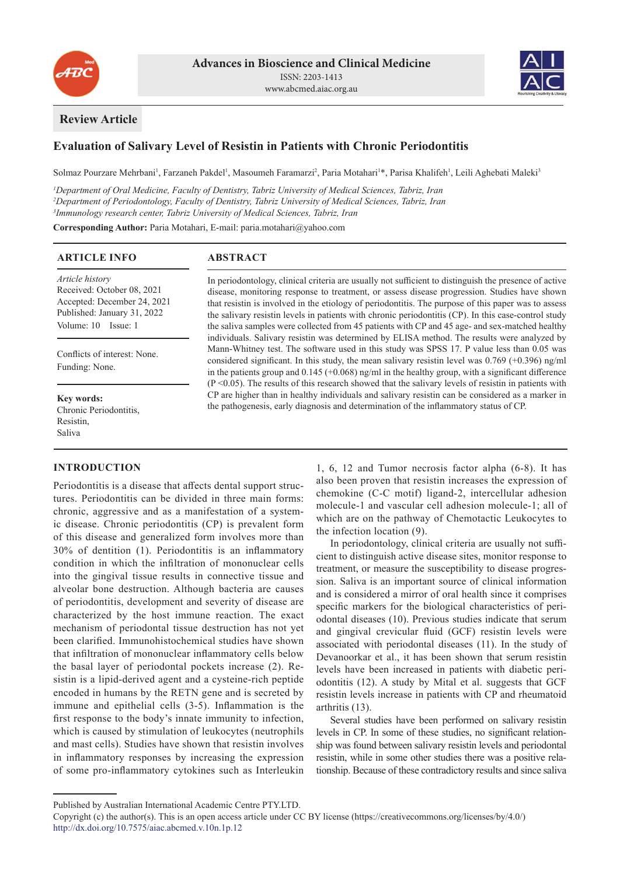



# **Review Article**

# **Evaluation of Salivary Level of Resistin in Patients with Chronic Periodontitis**

Solmaz Pourzare Mehrbani<sup>1</sup>, Farzaneh Pakdel<sup>1</sup>, Masoumeh Faramarzi<sup>2</sup>, Paria Motahari<sup>1\*</sup>, Parisa Khalifeh<sup>1</sup>, Leili Aghebati Maleki<sup>3</sup>

*1 Department of Oral Medicine, Faculty of Dentistry, Tabriz University of Medical Sciences, Tabriz, Iran 2 Department of Periodontology, Faculty of Dentistry, Tabriz University of Medical Sciences, Tabriz, Iran 3 Immunology research center, Tabriz University of Medical Sciences, Tabriz, Iran*

**Corresponding Author:** Paria Motahari, E-mail: paria.motahari@yahoo.com

## **ARTICLE INFO**

## **ABSTRACT**

*Article history* Received: October 08, 2021 Accepted: December 24, 2021 Published: January 31, 2022 Volume: 10 Issue: 1

Conflicts of interest: None. Funding: None.

**Key words:** Chronic Periodontitis, Resistin, Saliva

## **INTRODUCTION**

Periodontitis is a disease that affects dental support structures. Periodontitis can be divided in three main forms: chronic, aggressive and as a manifestation of a systemic disease. Chronic periodontitis (CP) is prevalent form of this disease and generalized form involves more than 30% of dentition (1). Periodontitis is an inflammatory condition in which the infiltration of mononuclear cells into the gingival tissue results in connective tissue and alveolar bone destruction. Although bacteria are causes of periodontitis, development and severity of disease are characterized by the host immune reaction. The exact mechanism of periodontal tissue destruction has not yet been clarified. Immunohistochemical studies have shown that infiltration of mononuclear inflammatory cells below the basal layer of periodontal pockets increase (2). Resistin is a lipid-derived agent and a cysteine-rich peptide encoded in humans by the RETN gene and is secreted by immune and epithelial cells (3-5). Inflammation is the first response to the body's innate immunity to infection, which is caused by stimulation of leukocytes (neutrophils and mast cells). Studies have shown that resistin involves in inflammatory responses by increasing the expression of some pro-inflammatory cytokines such as Interleukin

In periodontology, clinical criteria are usually not sufficient to distinguish the presence of active disease, monitoring response to treatment, or assess disease progression. Studies have shown that resistin is involved in the etiology of periodontitis. The purpose of this paper was to assess the salivary resistin levels in patients with chronic periodontitis (CP). In this case-control study the saliva samples were collected from 45 patients with CP and 45 age- and sex-matched healthy individuals. Salivary resistin was determined by ELISA method. The results were analyzed by Mann-Whitney test. The software used in this study was SPSS 17. P value less than 0.05 was considered significant. In this study, the mean salivary resistin level was 0.769 (+0.396) ng/ml in the patients group and  $0.145$  (+0.068) ng/ml in the healthy group, with a significant difference (P <0.05). The results of this research showed that the salivary levels of resistin in patients with CP are higher than in healthy individuals and salivary resistin can be considered as a marker in the pathogenesis, early diagnosis and determination of the inflammatory status of CP.

> 1, 6, 12 and Tumor necrosis factor alpha (6-8). It has also been proven that resistin increases the expression of chemokine (C-C motif) ligand-2, intercellular adhesion molecule-1 and vascular cell adhesion molecule-1; all of which are on the pathway of Chemotactic Leukocytes to the infection location (9).

> In periodontology, clinical criteria are usually not sufficient to distinguish active disease sites, monitor response to treatment, or measure the susceptibility to disease progression. Saliva is an important source of clinical information and is considered a mirror of oral health since it comprises specific markers for the biological characteristics of periodontal diseases (10). Previous studies indicate that serum and gingival crevicular fluid (GCF) resistin levels were associated with periodontal diseases (11). In the study of Devanoorkar et al., it has been shown that serum resistin levels have been increased in patients with diabetic periodontitis (12). A study by Mital et al. suggests that GCF resistin levels increase in patients with CP and rheumatoid arthritis (13).

> Several studies have been performed on salivary resistin levels in CP. In some of these studies, no significant relationship was found between salivary resistin levels and periodontal resistin, while in some other studies there was a positive relationship. Because of these contradictory results and since saliva

Published by Australian International Academic Centre PTY.LTD.

Copyright (c) the author(s). This is an open access article under CC BY license (https://creativecommons.org/licenses/by/4.0/) http://dx.doi.org/10.7575/aiac.abcmed.v.10n.1p.12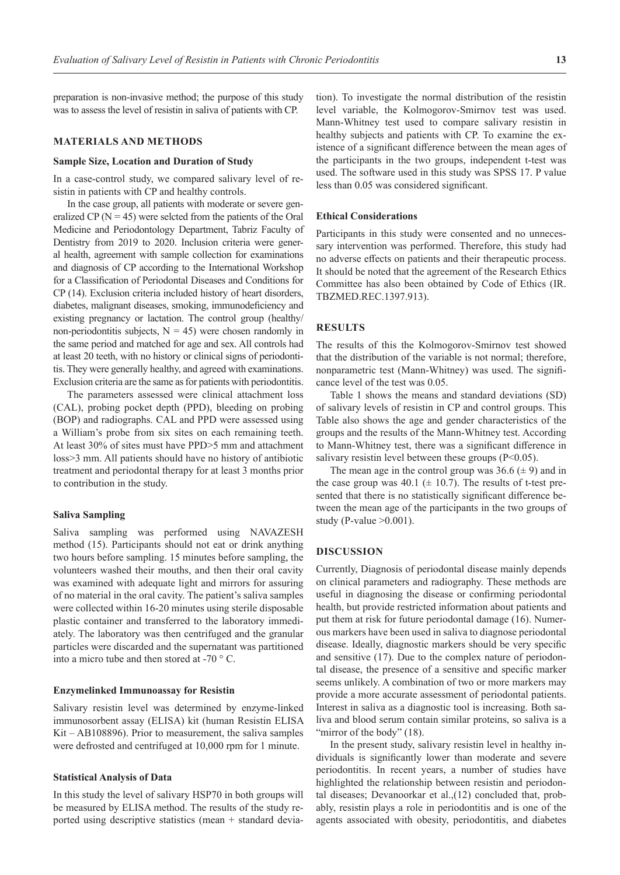preparation is non-invasive method; the purpose of this study was to assess the level of resistin in saliva of patients with CP.

## **MATERIALS AND METHODS**

#### **Sample Size, Location and Duration of Study**

In a case-control study, we compared salivary level of resistin in patients with CP and healthy controls.

In the case group, all patients with moderate or severe generalized CP ( $N = 45$ ) were seleted from the patients of the Oral Medicine and Periodontology Department, Tabriz Faculty of Dentistry from 2019 to 2020. Inclusion criteria were general health, agreement with sample collection for examinations and diagnosis of CP according to the International Workshop for a Classification of Periodontal Diseases and Conditions for CP (14). Exclusion criteria included history of heart disorders, diabetes, malignant diseases, smoking, immunodeficiency and existing pregnancy or lactation. The control group (healthy/ non-periodontitis subjects,  $N = 45$ ) were chosen randomly in the same period and matched for age and sex. All controls had at least 20 teeth, with no history or clinical signs of periodontitis. They were generally healthy, and agreed with examinations. Exclusion criteria are the same as for patients with periodontitis.

The parameters assessed were clinical attachment loss (CAL), probing pocket depth (PPD), bleeding on probing (BOP) and radiographs. CAL and PPD were assessed using a William's probe from six sites on each remaining teeth. At least 30% of sites must have PPD>5 mm and attachment loss>3 mm. All patients should have no history of antibiotic treatment and periodontal therapy for at least 3 months prior to contribution in the study.

#### **Saliva Sampling**

Saliva sampling was performed using NAVAZESH method (15). Participants should not eat or drink anything two hours before sampling. 15 minutes before sampling, the volunteers washed their mouths, and then their oral cavity was examined with adequate light and mirrors for assuring of no material in the oral cavity. The patient's saliva samples were collected within 16-20 minutes using sterile disposable plastic container and transferred to the laboratory immediately. The laboratory was then centrifuged and the granular particles were discarded and the supernatant was partitioned into a micro tube and then stored at -70 ° C.

#### **Enzymelinked Immunoassay for Resistin**

Salivary resistin level was determined by enzyme-linked immunosorbent assay (ELISA) kit (human Resistin ELISA Kit – AB108896). Prior to measurement, the saliva samples were defrosted and centrifuged at 10,000 rpm for 1 minute.

#### **Statistical Analysis of Data**

In this study the level of salivary HSP70 in both groups will be measured by ELISA method. The results of the study reported using descriptive statistics (mean + standard deviation). To investigate the normal distribution of the resistin level variable, the Kolmogorov-Smirnov test was used. Mann-Whitney test used to compare salivary resistin in healthy subjects and patients with CP. To examine the existence of a significant difference between the mean ages of the participants in the two groups, independent t-test was used. The software used in this study was SPSS 17. P value less than 0.05 was considered significant.

### **Ethical Considerations**

Participants in this study were consented and no unnecessary intervention was performed. Therefore, this study had no adverse effects on patients and their therapeutic process. It should be noted that the agreement of the Research Ethics Committee has also been obtained by Code of Ethics (IR. TBZMED.REC.1397.913).

## **RESULTS**

The results of this the Kolmogorov-Smirnov test showed that the distribution of the variable is not normal; therefore, nonparametric test (Mann-Whitney) was used. The significance level of the test was 0.05.

Table 1 shows the means and standard deviations (SD) of salivary levels of resistin in CP and control groups. This Table also shows the age and gender characteristics of the groups and the results of the Mann-Whitney test. According to Mann-Whitney test, there was a significant difference in salivary resistin level between these groups  $(P<0.05)$ .

The mean age in the control group was  $36.6 \ (\pm 9)$  and in the case group was  $40.1$  ( $\pm$  10.7). The results of t-test presented that there is no statistically significant difference between the mean age of the participants in the two groups of study (P-value  $>0.001$ ).

## **DISCUSSION**

Currently, Diagnosis of periodontal disease mainly depends on clinical parameters and radiography. These methods are useful in diagnosing the disease or confirming periodontal health, but provide restricted information about patients and put them at risk for future periodontal damage (16). Numerous markers have been used in saliva to diagnose periodontal disease. Ideally, diagnostic markers should be very specific and sensitive (17). Due to the complex nature of periodontal disease, the presence of a sensitive and specific marker seems unlikely. A combination of two or more markers may provide a more accurate assessment of periodontal patients. Interest in saliva as a diagnostic tool is increasing. Both saliva and blood serum contain similar proteins, so saliva is a "mirror of the body" (18).

In the present study, salivary resistin level in healthy individuals is significantly lower than moderate and severe periodontitis. In recent years, a number of studies have highlighted the relationship between resistin and periodontal diseases; Devanoorkar et al.,(12) concluded that, probably, resistin plays a role in periodontitis and is one of the agents associated with obesity, periodontitis, and diabetes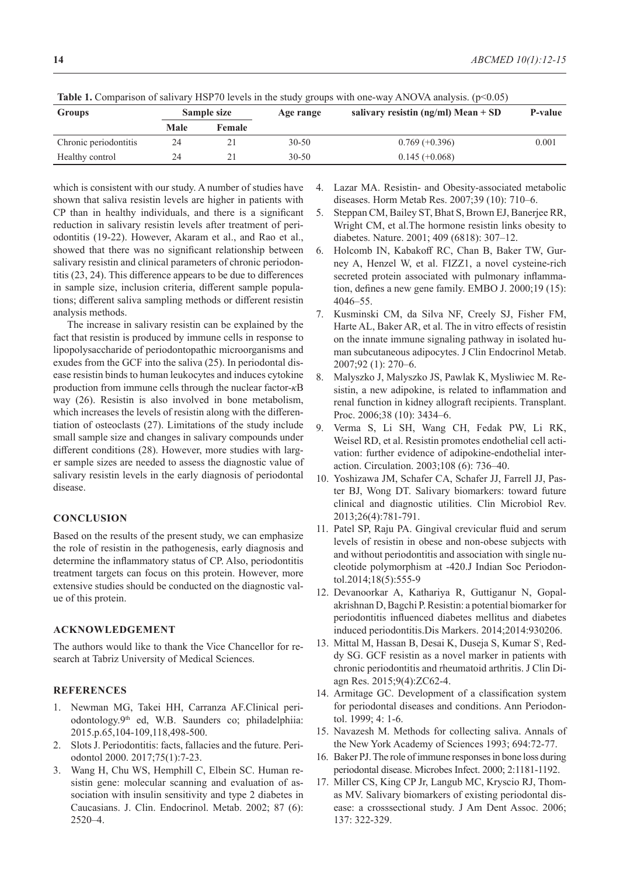| <b>Groups</b>         | Sample size |        | J O<br>Age range | salivary resistin (ng/ml) Mean $+$ SD | <b>P-value</b> |
|-----------------------|-------------|--------|------------------|---------------------------------------|----------------|
|                       | Male        | Female |                  |                                       |                |
| Chronic periodontitis | 24          |        | $30 - 50$        | $0.769 (+0.396)$                      | 0.001          |
| Healthy control       | 24          |        | $30 - 50$        | $0.145 (+0.068)$                      |                |

**Table 1.** Comparison of salivary HSP70 levels in the study groups with one-way ANOVA analysis. ( $p<0.05$ )

which is consistent with our study. A number of studies have shown that saliva resistin levels are higher in patients with CP than in healthy individuals, and there is a significant reduction in salivary resistin levels after treatment of periodontitis (19-22). However, Akaram et al., and Rao et al., showed that there was no significant relationship between salivary resistin and clinical parameters of chronic periodontitis (23, 24). This difference appears to be due to differences in sample size, inclusion criteria, different sample populations; different saliva sampling methods or different resistin analysis methods.

The increase in salivary resistin can be explained by the fact that resistin is produced by immune cells in response to lipopolysaccharide of periodontopathic microorganisms and exudes from the GCF into the saliva (25). In periodontal disease resistin binds to human leukocytes and induces cytokine production from immune cells through the nuclear factor-*κ*B way (26). Resistin is also involved in bone metabolism, which increases the levels of resistin along with the differentiation of osteoclasts (27). Limitations of the study include small sample size and changes in salivary compounds under different conditions (28). However, more studies with larger sample sizes are needed to assess the diagnostic value of salivary resistin levels in the early diagnosis of periodontal disease.

### **CONCLUSION**

Based on the results of the present study, we can emphasize the role of resistin in the pathogenesis, early diagnosis and determine the inflammatory status of CP. Also, periodontitis treatment targets can focus on this protein. However, more extensive studies should be conducted on the diagnostic value of this protein.

## **ACKNOWLEDGEMENT**

The authors would like to thank the Vice Chancellor for research at Tabriz University of Medical Sciences.

### **REFERENCES**

- 1. Newman MG, Takei HH, Carranza AF.Clinical periodontology.9th ed, W.B. Saunders co; philadelphiia: 2015.p.65,104-109,118,498-500.
- 2. Slots J. Periodontitis: facts, fallacies and the future. Periodontol 2000. 2017;75(1):7-23.
- 3. Wang H, Chu WS, Hemphill C, Elbein SC. Human resistin gene: molecular scanning and evaluation of association with insulin sensitivity and type 2 diabetes in Caucasians. J. Clin. Endocrinol. Metab. 2002; 87 (6): 2520–4.
- 4. Lazar MA. Resistin- and Obesity-associated metabolic diseases. Horm Metab Res. 2007;39 (10): 710–6.
- 5. Steppan CM, Bailey ST, Bhat S, Brown EJ, Banerjee RR, Wright CM, et al.The hormone resistin links obesity to diabetes. Nature. 2001; 409 (6818): 307–12.
- 6. Holcomb IN, Kabakoff RC, Chan B, Baker TW, Gurney A, Henzel W, et al. FIZZ1, a novel cysteine-rich secreted protein associated with pulmonary inflammation, defines a new gene family. EMBO J. 2000;19 (15): 4046–55.
- 7. Kusminski CM, da Silva NF, Creely SJ, Fisher FM, Harte AL, Baker AR, et al. The in vitro effects of resistin on the innate immune signaling pathway in isolated human subcutaneous adipocytes. J Clin Endocrinol Metab. 2007;92 (1): 270–6.
- 8. Malyszko J, Malyszko JS, Pawlak K, Mysliwiec M. Resistin, a new adipokine, is related to inflammation and renal function in kidney allograft recipients. Transplant. Proc. 2006;38 (10): 3434–6.
- 9. Verma S, Li SH, Wang CH, Fedak PW, Li RK, Weisel RD, et al. Resistin promotes endothelial cell activation: further evidence of adipokine-endothelial interaction. Circulation. 2003;108 (6): 736–40.
- 10. Yoshizawa JM, Schafer CA, Schafer JJ, Farrell JJ, Paster BJ, Wong DT. Salivary biomarkers: toward future clinical and diagnostic utilities. Clin Microbiol Rev. 2013;26(4):781-791.
- 11. Patel SP, Raju PA. Gingival crevicular fluid and serum levels of resistin in obese and non-obese subjects with and without periodontitis and association with single nucleotide polymorphism at -420.J Indian Soc Periodontol.2014;18(5):555-9
- 12. Devanoorkar A, Kathariya R, Guttiganur N, Gopalakrishnan D, Bagchi P. Resistin: a potential biomarker for periodontitis influenced diabetes mellitus and diabetes induced periodontitis.Dis Markers. 2014;2014:930206.
- 13. Mittal M, Hassan B, Desai K, Duseja S, Kumar S\ , Reddy SG. GCF resistin as a novel marker in patients with chronic periodontitis and rheumatoid arthritis. J Clin Diagn Res. 2015;9(4):ZC62-4.
- 14. Armitage GC. Development of a classification system for periodontal diseases and conditions. Ann Periodontol. 1999; 4: 1-6.
- 15. Navazesh M. Methods for collecting saliva. Annals of the New York Academy of Sciences 1993; 694:72-77.
- 16. Baker PJ. The role of immune responses in bone loss during periodontal disease. Microbes Infect. 2000; 2:1181-1192.
- 17. Miller CS, King CP Jr, Langub MC, Kryscio RJ, Thomas MV. Salivary biomarkers of existing periodontal disease: a crosssectional study. J Am Dent Assoc. 2006; 137: 322-329.